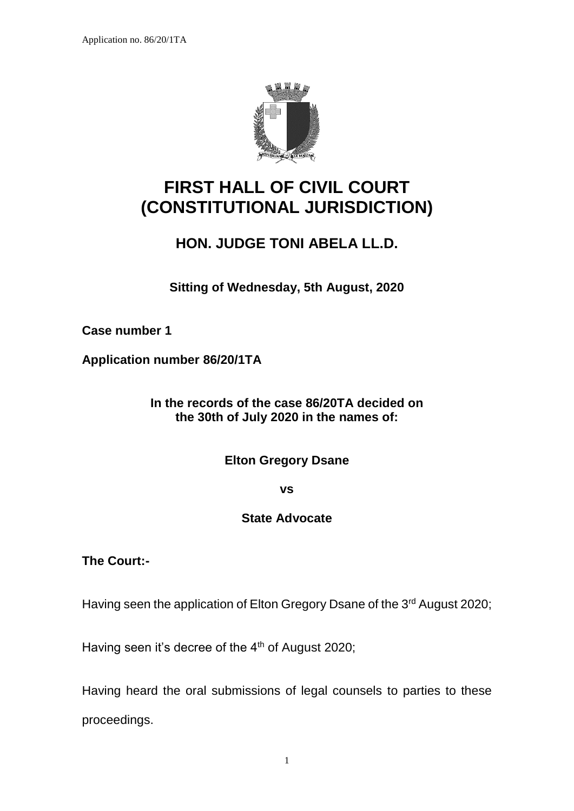

# **FIRST HALL OF CIVIL COURT (CONSTITUTIONAL JURISDICTION)**

## **HON. JUDGE TONI ABELA LL.D.**

**Sitting of Wednesday, 5th August, 2020**

**Case number 1**

**Application number 86/20/1TA**

**In the records of the case 86/20TA decided on the 30th of July 2020 in the names of:**

**Elton Gregory Dsane**

**vs**

### **State Advocate**

**The Court:-**

Having seen the application of Elton Gregory Dsane of the 3<sup>rd</sup> August 2020;

Having seen it's decree of the 4<sup>th</sup> of August 2020;

Having heard the oral submissions of legal counsels to parties to these proceedings.

1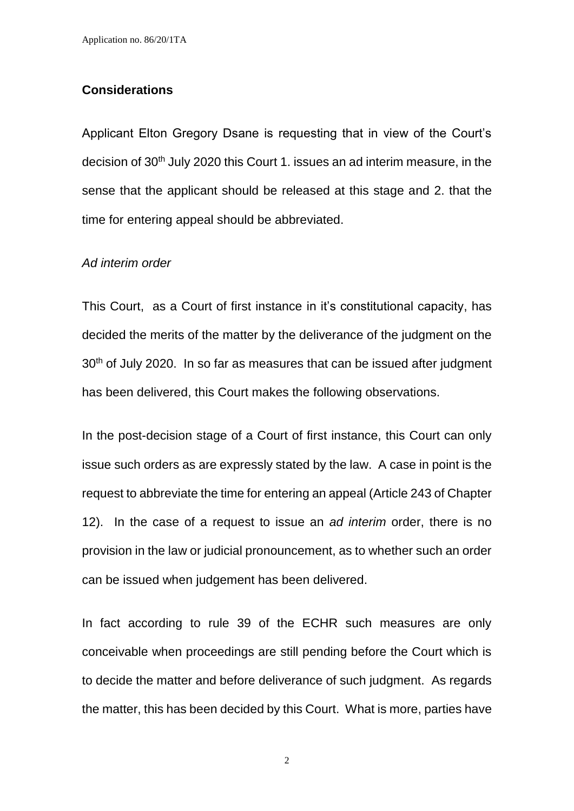#### **Considerations**

Applicant Elton Gregory Dsane is requesting that in view of the Court's decision of 30<sup>th</sup> July 2020 this Court 1. issues an ad interim measure, in the sense that the applicant should be released at this stage and 2. that the time for entering appeal should be abbreviated.

#### *Ad interim order*

This Court, as a Court of first instance in it's constitutional capacity, has decided the merits of the matter by the deliverance of the judgment on the 30<sup>th</sup> of July 2020. In so far as measures that can be issued after judgment has been delivered, this Court makes the following observations.

In the post-decision stage of a Court of first instance, this Court can only issue such orders as are expressly stated by the law. A case in point is the request to abbreviate the time for entering an appeal (Article 243 of Chapter 12). In the case of a request to issue an *ad interim* order, there is no provision in the law or judicial pronouncement, as to whether such an order can be issued when judgement has been delivered.

In fact according to rule 39 of the ECHR such measures are only conceivable when proceedings are still pending before the Court which is to decide the matter and before deliverance of such judgment. As regards the matter, this has been decided by this Court. What is more, parties have

2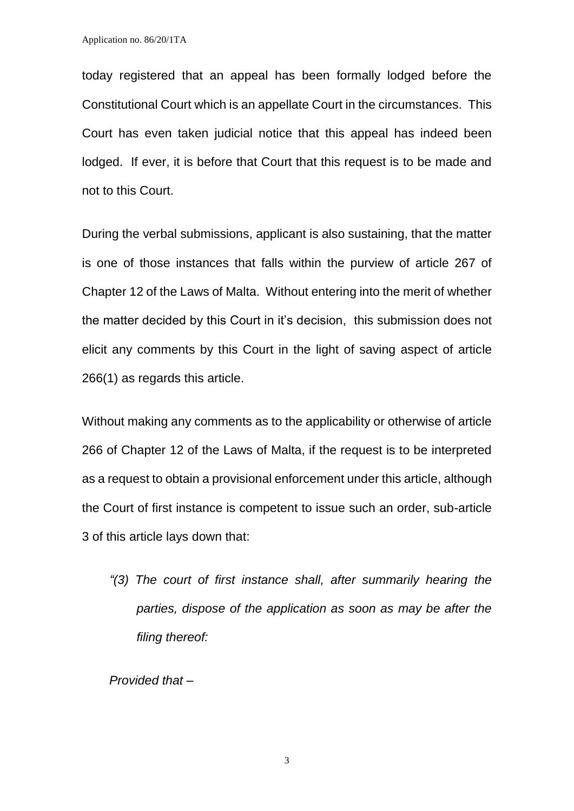today registered that an appeal has been formally lodged before the Constitutional Court which is an appellate Court in the circumstances. This Court has even taken judicial notice that this appeal has indeed been lodged. If ever, it is before that Court that this request is to be made and not to this Court.

During the verbal submissions, applicant is also sustaining, that the matter is one of those instances that falls within the purview of article 267 of Chapter 12 of the Laws of Malta. Without entering into the merit of whether the matter decided by this Court in it's decision, this submission does not elicit any comments by this Court in the light of saving aspect of article 266(1) as regards this article.

Without making any comments as to the applicability or otherwise of article 266 of Chapter 12 of the Laws of Malta, if the request is to be interpreted as a request to obtain a provisional enforcement under this article, although the Court of first instance is competent to issue such an order, sub-article 3 of this article lays down that:

*"(3) The court of first instance shall, after summarily hearing the parties, dispose of the application as soon as may be after the filing thereof:*

*Provided that –*

3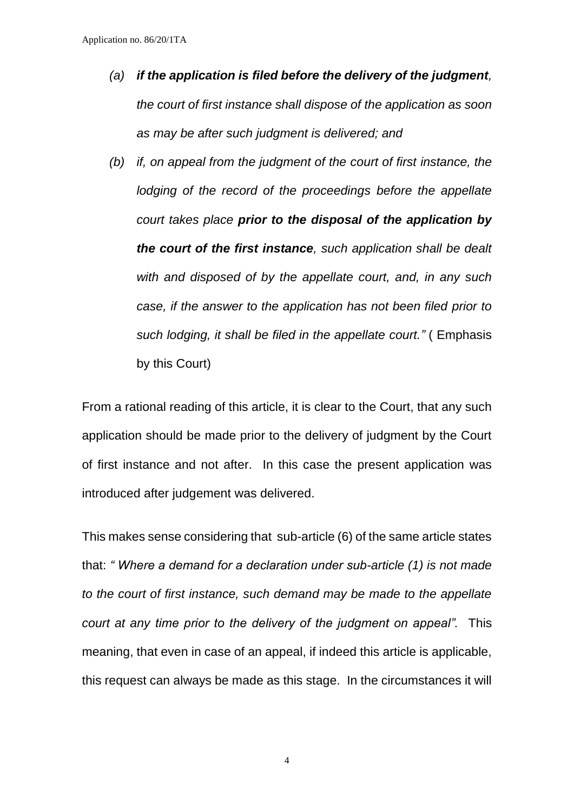- *(a) if the application is filed before the delivery of the judgment, the court of first instance shall dispose of the application as soon as may be after such judgment is delivered; and*
- *(b) if, on appeal from the judgment of the court of first instance, the lodging of the record of the proceedings before the appellate court takes place prior to the disposal of the application by the court of the first instance, such application shall be dealt with and disposed of by the appellate court, and, in any such case, if the answer to the application has not been filed prior to such lodging, it shall be filed in the appellate court."* ( Emphasis by this Court)

From a rational reading of this article, it is clear to the Court, that any such application should be made prior to the delivery of judgment by the Court of first instance and not after. In this case the present application was introduced after judgement was delivered.

This makes sense considering that sub-article (6) of the same article states that: *" Where a demand for a declaration under sub-article (1) is not made to the court of first instance, such demand may be made to the appellate court at any time prior to the delivery of the judgment on appeal".* This meaning, that even in case of an appeal, if indeed this article is applicable, this request can always be made as this stage. In the circumstances it will